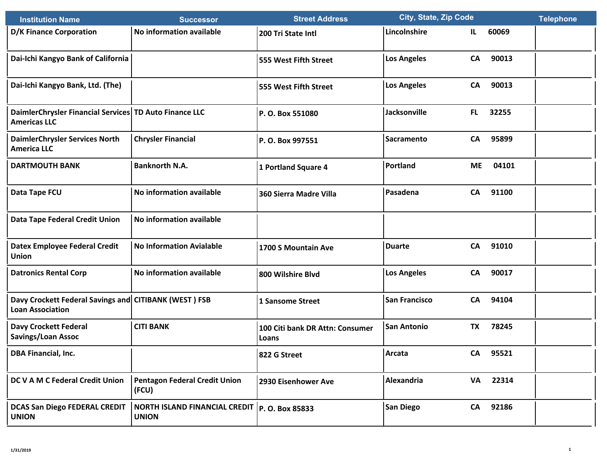| <b>Institution Name</b>                                                          | <b>Successor</b>                                                | <b>Street Address</b>                    | <b>City, State, Zip Code</b> |                    | <b>Telephone</b> |
|----------------------------------------------------------------------------------|-----------------------------------------------------------------|------------------------------------------|------------------------------|--------------------|------------------|
| <b>D/K Finance Corporation</b>                                                   | No information available                                        | 200 Tri State Intl                       | Lincolnshire                 | 60069<br>IL.       |                  |
| Dai-Ichi Kangyo Bank of California                                               |                                                                 | 555 West Fifth Street                    | <b>Los Angeles</b>           | 90013<br>CA        |                  |
| Dai-Ichi Kangyo Bank, Ltd. (The)                                                 |                                                                 | 555 West Fifth Street                    | <b>Los Angeles</b>           | 90013<br>CA        |                  |
| DaimlerChrysler Financial Services TD Auto Finance LLC<br><b>Americas LLC</b>    |                                                                 | P.O. Box 551080                          | Jacksonville                 | 32255<br>FL.       |                  |
| <b>DaimlerChrysler Services North</b><br><b>America LLC</b>                      | <b>Chrysler Financial</b>                                       | P.O. Box 997551                          | <b>Sacramento</b>            | 95899<br>CA        |                  |
| <b>DARTMOUTH BANK</b>                                                            | <b>Banknorth N.A.</b>                                           | 1 Portland Square 4                      | Portland                     | 04101<br><b>ME</b> |                  |
| Data Tape FCU                                                                    | No information available                                        | 360 Sierra Madre Villa                   | Pasadena                     | 91100<br>CA        |                  |
| <b>Data Tape Federal Credit Union</b>                                            | No information available                                        |                                          |                              |                    |                  |
| <b>Datex Employee Federal Credit</b><br>Union                                    | <b>No Information Avialable</b>                                 | 1700 S Mountain Ave                      | <b>Duarte</b>                | <b>CA</b><br>91010 |                  |
| <b>Datronics Rental Corp</b>                                                     | No information available                                        | 800 Wilshire Blvd                        | <b>Los Angeles</b>           | <b>CA</b><br>90017 |                  |
| Davy Crockett Federal Savings and CITIBANK (WEST) FSB<br><b>Loan Association</b> |                                                                 | 1 Sansome Street                         | <b>San Francisco</b>         | <b>CA</b><br>94104 |                  |
| <b>Davy Crockett Federal</b><br><b>Savings/Loan Assoc</b>                        | <b>CITI BANK</b>                                                | 100 Citi bank DR Attn: Consumer<br>Loans | <b>San Antonio</b>           | <b>TX</b><br>78245 |                  |
| <b>DBA Financial, Inc.</b>                                                       |                                                                 | 822 G Street                             | Arcata                       | 95521<br><b>CA</b> |                  |
| DC V A M C Federal Credit Union                                                  | <b>Pentagon Federal Credit Union</b><br>(FCU)                   | 2930 Eisenhower Ave                      | Alexandria                   | 22314<br>VA        |                  |
| <b>DCAS San Diego FEDERAL CREDIT</b><br><b>UNION</b>                             | NORTH ISLAND FINANCIAL CREDIT   P. O. Box 85833<br><b>UNION</b> |                                          | <b>San Diego</b>             | 92186<br>CA        |                  |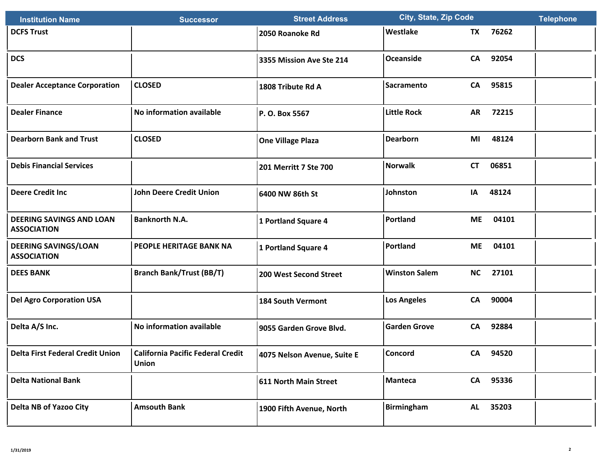| <b>Institution Name</b>                               | <b>Successor</b>                                         | <b>Street Address</b>        | <b>City, State, Zip Code</b> |           | <b>Telephone</b> |  |
|-------------------------------------------------------|----------------------------------------------------------|------------------------------|------------------------------|-----------|------------------|--|
| <b>DCFS Trust</b>                                     |                                                          | 2050 Roanoke Rd              | Westlake                     | <b>TX</b> | 76262            |  |
| <b>DCS</b>                                            |                                                          | 3355 Mission Ave Ste 214     | <b>Oceanside</b>             | CA        | 92054            |  |
| <b>Dealer Acceptance Corporation</b>                  | <b>CLOSED</b>                                            | 1808 Tribute Rd A            | <b>Sacramento</b>            | CA        | 95815            |  |
| <b>Dealer Finance</b>                                 | No information available                                 | P. O. Box 5567               | <b>Little Rock</b>           | <b>AR</b> | 72215            |  |
| <b>Dearborn Bank and Trust</b>                        | <b>CLOSED</b>                                            | <b>One Village Plaza</b>     | <b>Dearborn</b>              | MI        | 48124            |  |
| <b>Debis Financial Services</b>                       |                                                          | 201 Merritt 7 Ste 700        | <b>Norwalk</b>               | <b>CT</b> | 06851            |  |
| <b>Deere Credit Inc</b>                               | <b>John Deere Credit Union</b>                           | 6400 NW 86th St              | Johnston                     | IA        | 48124            |  |
| <b>DEERING SAVINGS AND LOAN</b><br><b>ASSOCIATION</b> | <b>Banknorth N.A.</b>                                    | 1 Portland Square 4          | Portland                     | <b>ME</b> | 04101            |  |
| <b>DEERING SAVINGS/LOAN</b><br><b>ASSOCIATION</b>     | PEOPLE HERITAGE BANK NA                                  | 1 Portland Square 4          | Portland                     | <b>ME</b> | 04101            |  |
| <b>DEES BANK</b>                                      | <b>Branch Bank/Trust (BB/T)</b>                          | 200 West Second Street       | <b>Winston Salem</b>         | <b>NC</b> | 27101            |  |
| <b>Del Agro Corporation USA</b>                       |                                                          | <b>184 South Vermont</b>     | <b>Los Angeles</b>           | CA        | 90004            |  |
| Delta A/S Inc.                                        | No information available                                 | 9055 Garden Grove Blvd.      | <b>Garden Grove</b>          | <b>CA</b> | 92884            |  |
| <b>Delta First Federal Credit Union</b>               | <b>California Pacific Federal Credit</b><br><b>Union</b> | 4075 Nelson Avenue, Suite E  | Concord                      | CA        | 94520            |  |
| <b>Delta National Bank</b>                            |                                                          | <b>611 North Main Street</b> | <b>Manteca</b>               | CA        | 95336            |  |
| <b>Delta NB of Yazoo City</b>                         | <b>Amsouth Bank</b>                                      | 1900 Fifth Avenue, North     | <b>Birmingham</b>            | <b>AL</b> | 35203            |  |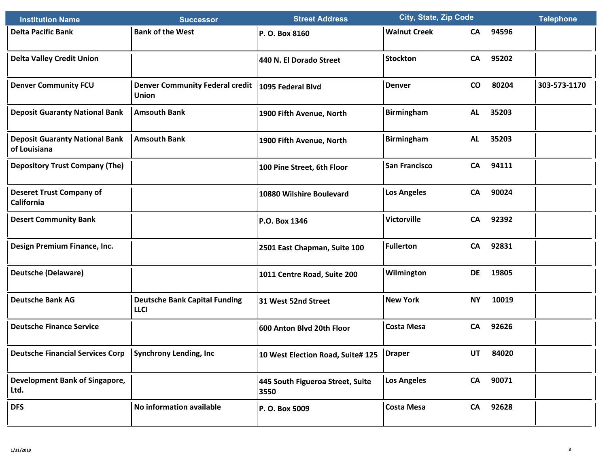| <b>Institution Name</b>                                   | <b>Successor</b>                                                    | <b>Street Address</b>                      | <b>City, State, Zip Code</b> |                 |       | <b>Telephone</b> |
|-----------------------------------------------------------|---------------------------------------------------------------------|--------------------------------------------|------------------------------|-----------------|-------|------------------|
| <b>Delta Pacific Bank</b>                                 | <b>Bank of the West</b>                                             | P.O. Box 8160                              | <b>Walnut Creek</b>          | CA              | 94596 |                  |
| <b>Delta Valley Credit Union</b>                          |                                                                     | 440 N. El Dorado Street                    | <b>Stockton</b>              | CA              | 95202 |                  |
| <b>Denver Community FCU</b>                               | Denver Community Federal credit   1095 Federal Blvd<br><b>Union</b> |                                            | <b>Denver</b>                | $\mathsf{co}\,$ | 80204 | 303-573-1170     |
| <b>Deposit Guaranty National Bank</b>                     | <b>Amsouth Bank</b>                                                 | 1900 Fifth Avenue, North                   | <b>Birmingham</b>            | AL              | 35203 |                  |
| <b>Deposit Guaranty National Bank</b><br>of Louisiana     | <b>Amsouth Bank</b>                                                 | 1900 Fifth Avenue, North                   | <b>Birmingham</b>            | AL              | 35203 |                  |
| <b>Depository Trust Company (The)</b>                     |                                                                     | 100 Pine Street, 6th Floor                 | <b>San Francisco</b>         | CA              | 94111 |                  |
| <b>Deseret Trust Company of</b><br><b>California</b>      |                                                                     | 10880 Wilshire Boulevard                   | <b>Los Angeles</b>           | CA              | 90024 |                  |
| <b>Desert Community Bank</b>                              |                                                                     | P.O. Box 1346                              | <b>Victorville</b>           | CA              | 92392 |                  |
| Design Premium Finance, Inc.                              |                                                                     | 2501 East Chapman, Suite 100               | <b>Fullerton</b>             | <b>CA</b>       | 92831 |                  |
| <b>Deutsche (Delaware)</b>                                |                                                                     | 1011 Centre Road, Suite 200                | Wilmington                   | <b>DE</b>       | 19805 |                  |
| <b>Deutsche Bank AG</b>                                   | <b>Deutsche Bank Capital Funding</b><br><b>LLCI</b>                 | 31 West 52nd Street                        | <b>New York</b>              | <b>NY</b>       | 10019 |                  |
| <b>Deutsche Finance Service</b>                           |                                                                     | 600 Anton Blvd 20th Floor                  | <b>Costa Mesa</b>            | <b>CA</b>       | 92626 |                  |
| Deutsche Financial Services Corp   Synchrony Lending, Inc |                                                                     | 10 West Election Road, Suite# 125   Draper |                              | UT              | 84020 |                  |
| Development Bank of Singapore,<br>Ltd.                    |                                                                     | 445 South Figueroa Street, Suite<br>3550   | <b>Los Angeles</b>           | CA              | 90071 |                  |
| <b>DFS</b>                                                | No information available                                            | P.O. Box 5009                              | <b>Costa Mesa</b>            | CA              | 92628 |                  |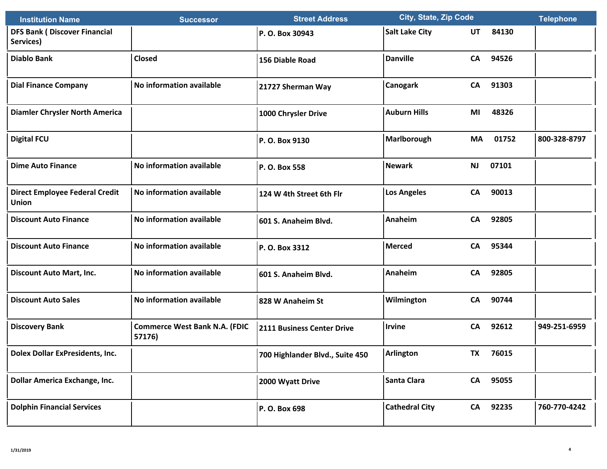| <b>Institution Name</b>                               | <b>Successor</b>                               | <b>Street Address</b>             | <b>City, State, Zip Code</b> |           |          | <b>Telephone</b> |
|-------------------------------------------------------|------------------------------------------------|-----------------------------------|------------------------------|-----------|----------|------------------|
| <b>DFS Bank (Discover Financial</b><br>Services)      |                                                | P.O. Box 30943                    | <b>Salt Lake City</b>        | UT        | 84130    |                  |
| <b>Diablo Bank</b>                                    | Closed                                         | 156 Diable Road                   | <b>Danville</b>              | <b>CA</b> | 94526    |                  |
| <b>Dial Finance Company</b>                           | No information available                       | 21727 Sherman Way                 | <b>Canogark</b>              | <b>CA</b> | 91303    |                  |
| <b>Diamler Chrysler North America</b>                 |                                                | 1000 Chrysler Drive               | <b>Auburn Hills</b>          | MI        | 48326    |                  |
| <b>Digital FCU</b>                                    |                                                | P.O. Box 9130                     | Marlborough                  | MA        | 01752    | 800-328-8797     |
| <b>Dime Auto Finance</b>                              | No information available                       | P. O. Box 558                     | Newark                       | <b>NJ</b> | 07101    |                  |
| <b>Direct Employee Federal Credit</b><br><b>Union</b> | No information available                       | 124 W 4th Street 6th Flr          | <b>Los Angeles</b>           | <b>CA</b> | 90013    |                  |
| <b>Discount Auto Finance</b>                          | No information available                       | 601 S. Anaheim Blvd.              | Anaheim                      | <b>CA</b> | 92805    |                  |
| <b>Discount Auto Finance</b>                          | No information available                       | P. O. Box 3312                    | <b>Merced</b>                | <b>CA</b> | 95344    |                  |
| <b>Discount Auto Mart, Inc.</b>                       | No information available                       | 601 S. Anaheim Blvd.              | Anaheim                      | <b>CA</b> | 92805    |                  |
| <b>Discount Auto Sales</b>                            | No information available                       | 828 W Anaheim St                  | Wilmington                   | CA        | 90744    |                  |
| <b>Discovery Bank</b>                                 | <b>Commerce West Bank N.A. (FDIC</b><br>57176) | <b>2111 Business Center Drive</b> | <b>Irvine</b>                | CA        | 92612    | 949-251-6959     |
| <b>Dolex Dollar ExPresidents, Inc.</b>                |                                                | 700 Highlander Blvd., Suite 450   | Arlington                    | TX I      | 76015    |                  |
| Dollar America Exchange, Inc.                         |                                                | 2000 Wyatt Drive                  | Santa Clara                  |           | CA 95055 |                  |
| <b>Dolphin Financial Services</b>                     |                                                | P.O. Box 698                      | <b>Cathedral City</b>        | CA        | 92235    | 760-770-4242     |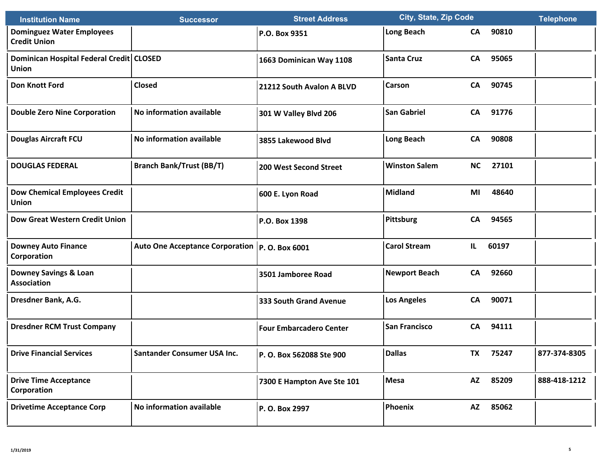| <b>Institution Name</b>                                 | <b>Successor</b>                                 | <b>Street Address</b>          | <b>City, State, Zip Code</b> |           | <b>Telephone</b> |              |
|---------------------------------------------------------|--------------------------------------------------|--------------------------------|------------------------------|-----------|------------------|--------------|
| <b>Dominguez Water Employees</b><br><b>Credit Union</b> |                                                  | P.O. Box 9351                  | <b>Long Beach</b>            | CA        | 90810            |              |
| Dominican Hospital Federal Credit CLOSED<br>Union       |                                                  | 1663 Dominican Way 1108        | <b>Santa Cruz</b>            | CA        | 95065            |              |
| <b>Don Knott Ford</b>                                   | Closed                                           | 21212 South Avalon A BLVD      | <b>Carson</b>                | CA        | 90745            |              |
| <b>Double Zero Nine Corporation</b>                     | No information available                         | 301 W Valley Blvd 206          | <b>San Gabriel</b>           | CA        | 91776            |              |
| <b>Douglas Aircraft FCU</b>                             | No information available                         | 3855 Lakewood Blvd             | <b>Long Beach</b>            | CA        | 90808            |              |
| <b>DOUGLAS FEDERAL</b>                                  | <b>Branch Bank/Trust (BB/T)</b>                  | 200 West Second Street         | <b>Winston Salem</b>         | <b>NC</b> | 27101            |              |
| <b>Dow Chemical Employees Credit</b><br><b>Union</b>    |                                                  | 600 E. Lyon Road               | Midland                      | MI        | 48640            |              |
| <b>Dow Great Western Credit Union</b>                   |                                                  | P.O. Box 1398                  | <b>Pittsburg</b>             | CA        | 94565            |              |
| <b>Downey Auto Finance</b><br>Corporation               | Auto One Acceptance Corporation   P. O. Box 6001 |                                | <b>Carol Stream</b>          | IL.       | 60197            |              |
| <b>Downey Savings &amp; Loan</b><br><b>Association</b>  |                                                  | 3501 Jamboree Road             | <b>Newport Beach</b>         | <b>CA</b> | 92660            |              |
| Dresdner Bank, A.G.                                     |                                                  | <b>333 South Grand Avenue</b>  | <b>Los Angeles</b>           | <b>CA</b> | 90071            |              |
| <b>Dresdner RCM Trust Company</b>                       |                                                  | <b>Four Embarcadero Center</b> | <b>San Francisco</b>         | CA        | 94111            |              |
| <b>Drive Financial Services</b>                         | Santander Consumer USA Inc.                      | P.O. Box 562088 Ste 900        | <b>Dallas</b>                | TX I      | 75247            | 877-374-8305 |
| <b>Drive Time Acceptance</b><br>Corporation             |                                                  | 7300 E Hampton Ave Ste 101     | Mesa                         | <b>AZ</b> | 85209            | 888-418-1212 |
| <b>Drivetime Acceptance Corp</b>                        | No information available                         | P.O. Box 2997                  | Phoenix                      | <b>AZ</b> | 85062            |              |